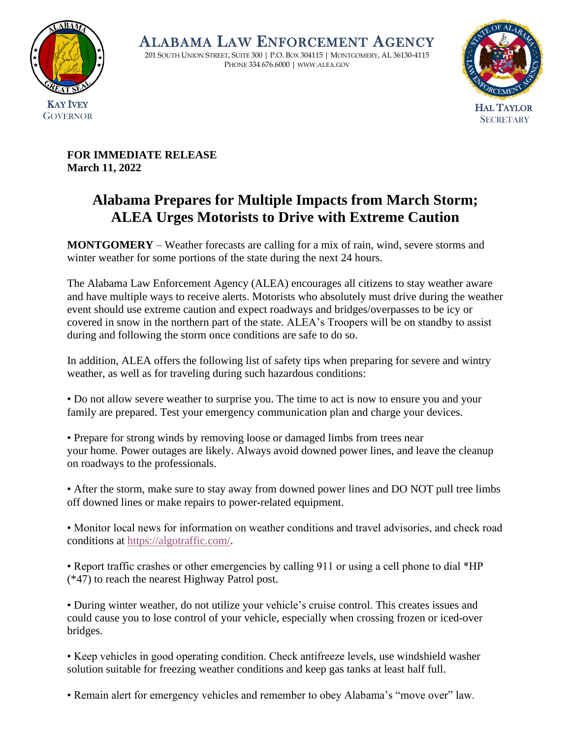

ALABAMA LAW ENFORCEMENT AGENCY

201 SOUTH UNION STREET, SUITE 300 | P.O. BOX 304115 | MONTGOMERY, AL 36130-4115 PHONE 334.676.6000 | WWW.ALEA.GOV



**FOR IMMEDIATE RELEASE March 11, 2022** 

## **Alabama Prepares for Multiple Impacts from March Storm; ALEA Urges Motorists to Drive with Extreme Caution**

**MONTGOMERY** – Weather forecasts are calling for a mix of rain, wind, severe storms and winter weather for some portions of the state during the next 24 hours.

The Alabama Law Enforcement Agency (ALEA) encourages all citizens to stay weather aware and have multiple ways to receive alerts. Motorists who absolutely must drive during the weather event should use extreme caution and expect roadways and bridges/overpasses to be icy or covered in snow in the northern part of the state. ALEA's Troopers will be on standby to assist during and following the storm once conditions are safe to do so.

In addition, ALEA offers the following list of safety tips when preparing for severe and wintry weather, as well as for traveling during such hazardous conditions:

• Do not allow severe weather to surprise you. The time to act is now to ensure you and your family are prepared. Test your emergency communication plan and charge your devices.

• Prepare for strong winds by removing loose or damaged limbs from trees near your home. Power outages are likely. Always avoid downed power lines, and leave the cleanup on roadways to the professionals.

• After the storm, make sure to stay away from downed power lines and DO NOT pull tree limbs off downed lines or make repairs to power-related equipment.

• Monitor local news for information on weather conditions and travel advisories, and check road conditions at [https://algotraffic.com/.](https://algotraffic.com/)

• Report traffic crashes or other emergencies by calling 911 or using a cell phone to dial \*HP (\*47) to reach the nearest Highway Patrol post.

• During winter weather, do not utilize your vehicle's cruise control. This creates issues and could cause you to lose control of your vehicle, especially when crossing frozen or iced-over bridges.

• Keep vehicles in good operating condition. Check antifreeze levels, use windshield washer solution suitable for freezing weather conditions and keep gas tanks at least half full.

• Remain alert for emergency vehicles and remember to obey Alabama's "move over" law.